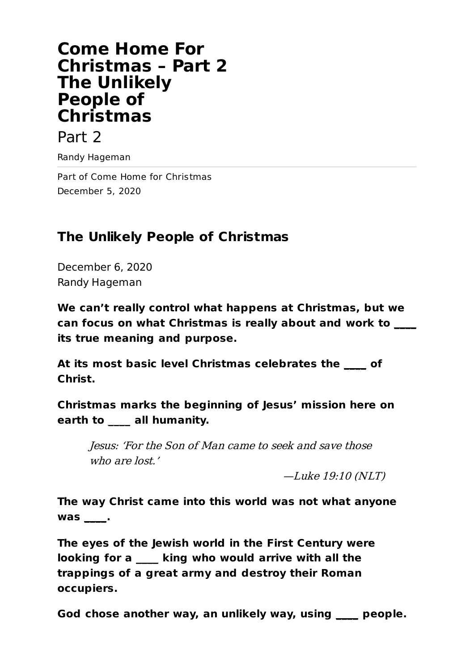# **Come Home For Christmas – Part 2 The Unlikely People of Christmas**

### Part 2

Randy Hageman

Part of Come Home for Christmas December 5, 2020

## **The Unlikely People of Christmas**

December 6, 2020 Randy Hageman

**We can't really control what happens at Christmas, but we can focus on what Christmas is really about and work to \_\_\_\_ its true meaning and purpose.**

**At its most basic level Christmas celebrates the \_\_\_\_ of Christ.**

**Christmas marks the beginning of Jesus' mission here on earth to \_\_\_\_ all humanity.**

Jesus: 'For the Son of Man came to seek and save those who are lost.'

—Luke 19:10 (NLT)

**The way Christ came into this world was not what anyone was \_\_\_\_.**

**The eyes of the Jewish world in the First Century were looking for a \_\_\_\_ king who would arrive with all the trappings of a great army and destroy their Roman occupiers.**

**God chose another way, an unlikely way, using \_\_\_\_ people.**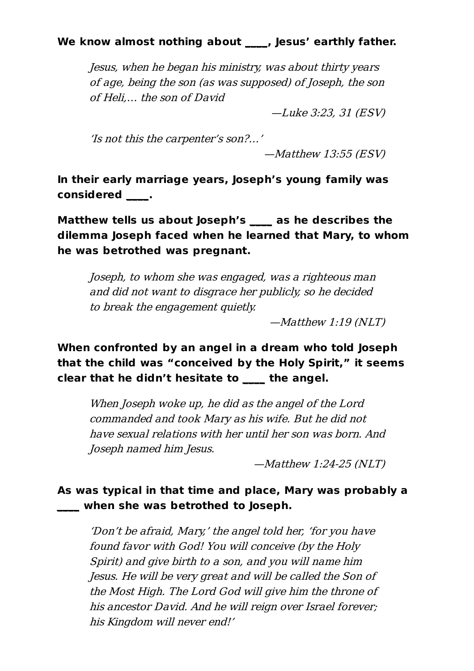#### **We know almost nothing about \_\_\_\_, Jesus' earthly father.**

Jesus, when he began his ministry, was about thirty years of age, being the son (as was supposed) of Joseph, the son of Heli,… the son of David

—Luke 3:23, 31 (ESV)

'Is not this the carpenter's son?…'

—Matthew 13:55 (ESV)

**In their early marriage years, Joseph's young family was considered \_\_\_\_.**

**Matthew tells us about Joseph's \_\_\_\_ as he describes the dilemma Joseph faced when he learned that Mary, to whom he was betrothed was pregnant.**

Joseph, to whom she was engaged, was <sup>a</sup> righteous man and did not want to disgrace her publicly, so he decided to break the engagement quietly.

—Matthew 1:19 (NLT)

### **When confronted by an angel in a dream who told Joseph that the child was "conceived by the Holy Spirit," it seems clear that he didn't hesitate to \_\_\_\_ the angel.**

When Joseph woke up, he did as the angel of the Lord commanded and took Mary as his wife. But he did not have sexual relations with her until her son was born. And Joseph named him Jesus.

—Matthew 1:24-25 (NLT)

#### **As was typical in that time and place, Mary was probably a \_\_\_\_ when she was betrothed to Joseph.**

'Don't be afraid, Mary,' the angel told her, 'for you have found favor with God! You will conceive (by the Holy Spirit) and give birth to <sup>a</sup> son, and you will name him Jesus. He will be very great and will be called the Son of the Most High. The Lord God will give him the throne of his ancestor David. And he will reign over Israel forever; his Kingdom will never end!'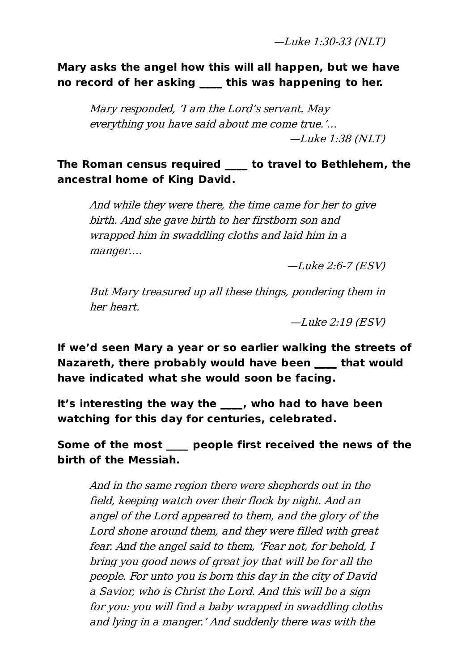—Luke 1:30-33 (NLT)

**Mary asks the angel how this will all happen, but we have no record of her asking \_\_\_\_ this was happening to her.**

Mary responded, 'I am the Lord's servant. May everything you have said about me come true.'… —Luke 1:38 (NLT)

**The Roman census required \_\_\_\_ to travel to Bethlehem, the ancestral home of King David.**

And while they were there, the time came for her to give birth. And she gave birth to her firstborn son and wrapped him in swaddling cloths and laid him in <sup>a</sup> manger….

—Luke 2:6-7 (ESV)

But Mary treasured up all these things, pondering them in her heart.

—Luke 2:19 (ESV)

**If we'd seen Mary a year or so earlier walking the streets of Nazareth, there probably would have been \_\_\_\_ that would have indicated what she would soon be facing.**

**It's interesting the way the \_\_\_\_, who had to have been watching for this day for centuries, celebrated.**

**Some of the most \_\_\_\_ people first received the news of the birth of the Messiah.**

And in the same region there were shepherds out in the field, keeping watch over their flock by night. And an angel of the Lord appeared to them, and the glory of the Lord shone around them, and they were filled with great fear. And the angel said to them, 'Fear not, for behold, I bring you good news of great joy that will be for all the people. For unto you is born this day in the city of David <sup>a</sup> Savior, who is Christ the Lord. And this will be <sup>a</sup> sign for you: you will find <sup>a</sup> baby wrapped in swaddling cloths and lying in <sup>a</sup> manger.' And suddenly there was with the